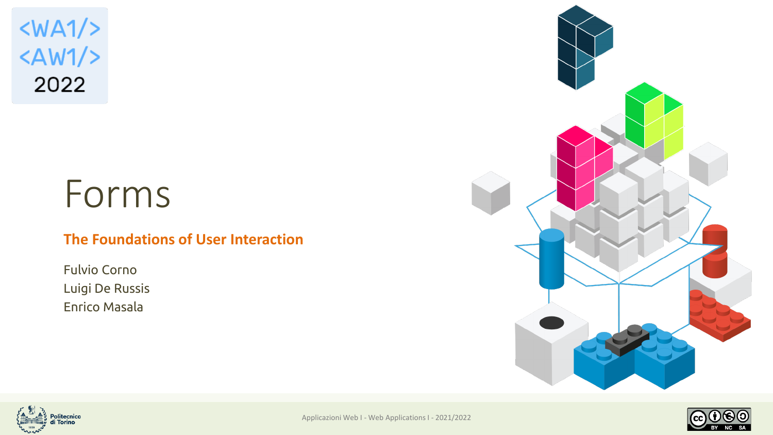$<$ WA1/>  $<$ AW1/> 2022

# Forms

#### **The Foundations of User Interaction**

Fulvio Corno Luigi De Russis Enrico Masala





Applicazioni Web I - Web Applications I - 2021/2022

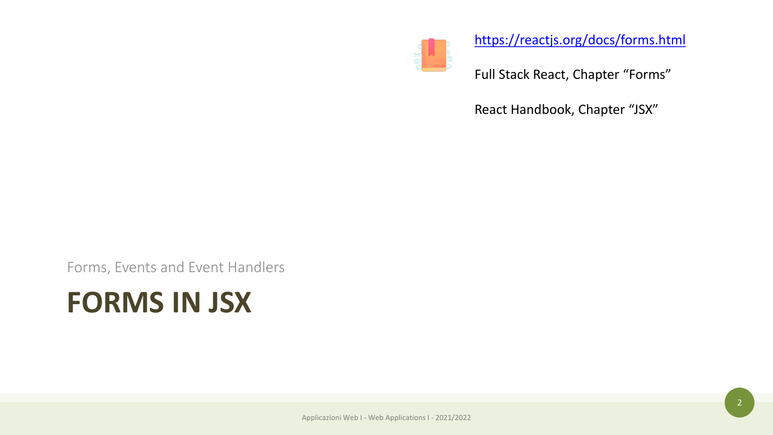

<https://reactjs.org/docs/forms.html>

Full Stack React, Chapter "Forms"

React Handbook, Chapter "JSX"

Forms, Events and Event Handlers

#### **FORMS IN JSX**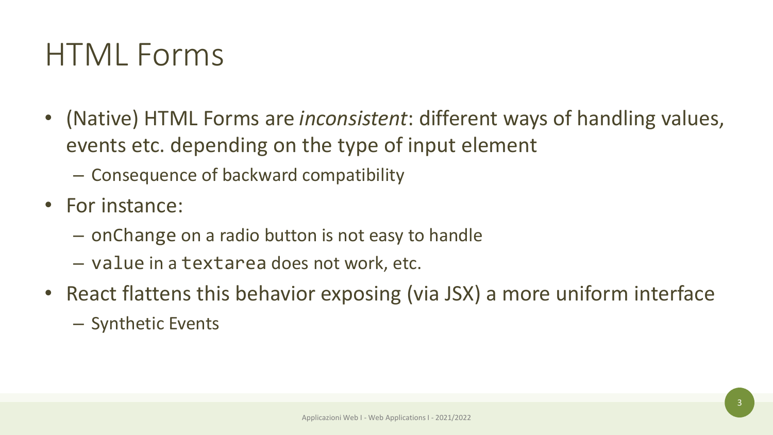#### HTML Forms

- (Native) HTML Forms are *inconsistent*: different ways of handling values, events etc. depending on the type of input element
	- Consequence of backward compatibility
- For instance:
	- onChange on a radio button is not easy to handle
	- value in a textarea does not work, etc.
- React flattens this behavior exposing (via JSX) a more uniform interface
	- Synthetic Events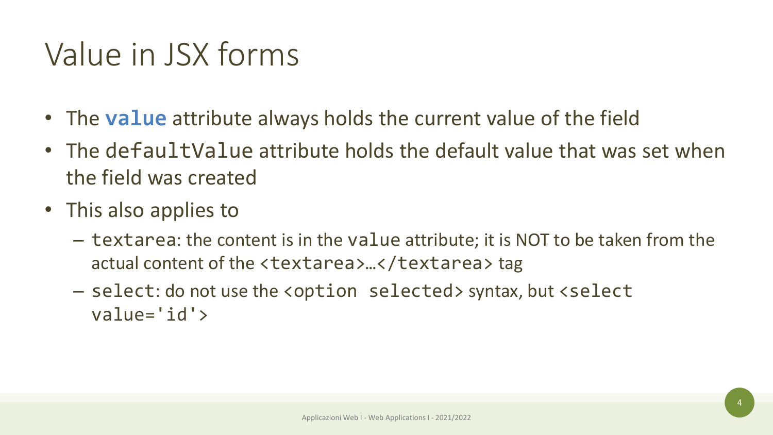#### Value in JSX forms

- The **value** attribute always holds the current value of the field
- The defaultValue attribute holds the default value that was set when the field was created
- This also applies to
	- textarea: the content is in the value attribute; it is NOT to be taken from the actual content of the <textarea>...</textarea> tag
	- select: do not use the <option selected> syntax, but <select value='id'>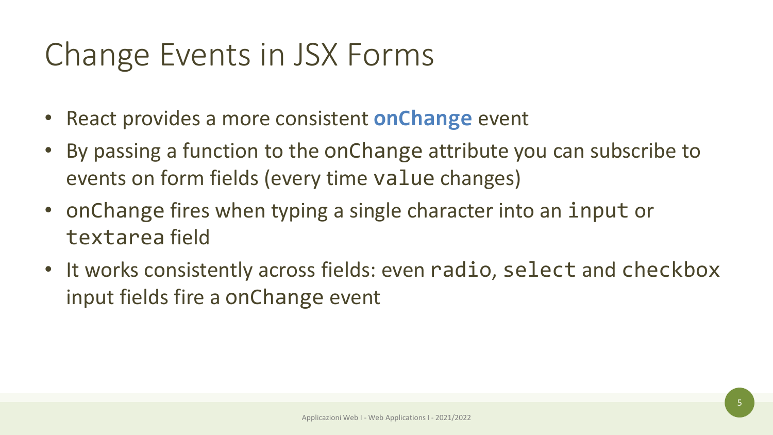#### Change Events in JSX Forms

- React provides a more consistent **onChange** event
- By passing a function to the onChange attribute you can subscribe to events on form fields (every time value changes)
- onChange fires when typing a single character into an input or textarea field
- It works consistently across fields: even radio, select and checkbox input fields fire a onChange event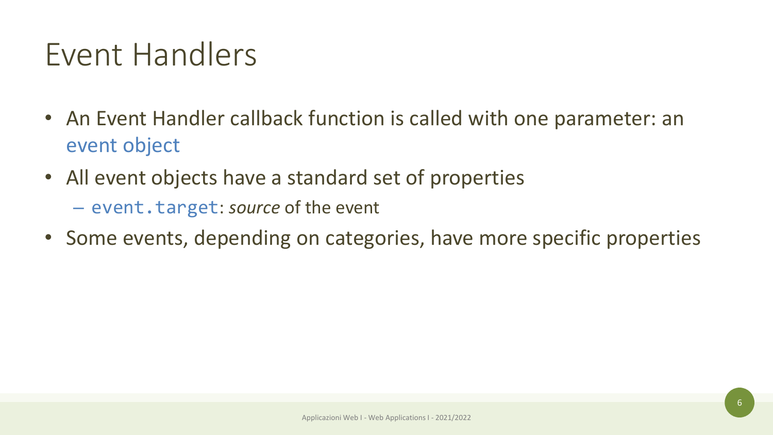#### Event Handlers

- An Event Handler callback function is called with one parameter: an event object
- All event objects have a standard set of properties
	- event.target: *source* of the event
- Some events, depending on categories, have more specific properties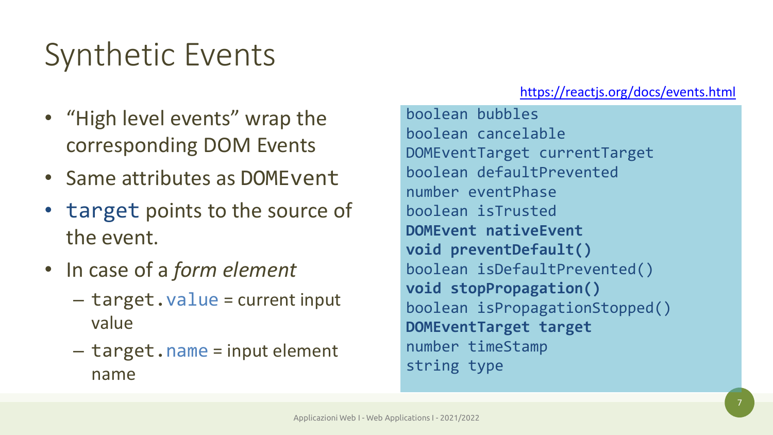# Synthetic Events

- "High level events" wrap the corresponding DOM Events
- Same attributes as DOMEvent
- target points to the source of the event.
- In case of a *form element*
	- target.value = current input value
	- target.name = input element name

#### <https://reactjs.org/docs/events.html>

boolean bubbles boolean cancelable DOMEventTarget currentTarget boolean defaultPrevented number eventPhase boolean isTrusted **DOMEvent nativeEvent void preventDefault()** boolean isDefaultPrevented() **void stopPropagation()** boolean isPropagationStopped() **DOMEventTarget target** number timeStamp string type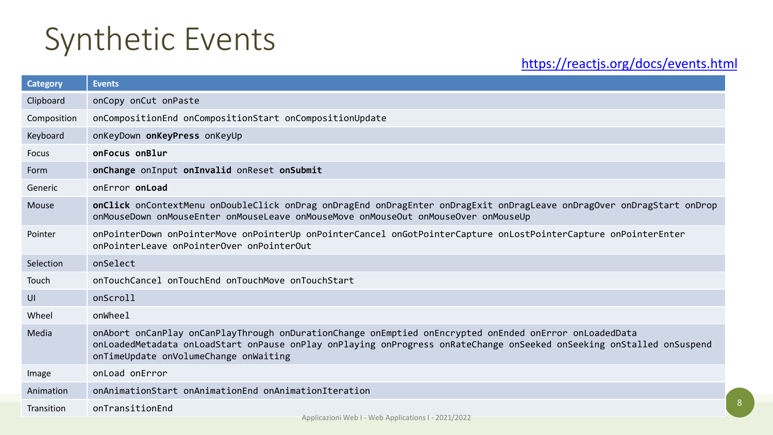#### Synthetic Events

#### <https://reactjs.org/docs/events.html>

| <b>Category</b> | <b>Events</b>                                                                                                                                                                                                                                                           |
|-----------------|-------------------------------------------------------------------------------------------------------------------------------------------------------------------------------------------------------------------------------------------------------------------------|
| Clipboard       | onCopy onCut onPaste                                                                                                                                                                                                                                                    |
| Composition     | onCompositionEnd onCompositionStart onCompositionUpdate                                                                                                                                                                                                                 |
| Keyboard        | onKeyDown onKeyPress onKeyUp                                                                                                                                                                                                                                            |
| Focus           | onFocus onBlur                                                                                                                                                                                                                                                          |
| Form            | onChange onInput onInvalid onReset onSubmit                                                                                                                                                                                                                             |
| Generic         | onError onLoad                                                                                                                                                                                                                                                          |
| Mouse           | onClick onContextMenu onDoubleClick onDrag onDragEnd onDragEnter onDragExit onDragLeave onDragOver onDragStart onDrop<br>onMouseDown onMouseEnter onMouseLeave onMouseMove onMouseOut onMouseOver onMouseUp                                                             |
| Pointer         | onPointerDown onPointerMove onPointerUp onPointerCancel onGotPointerCapture onLostPointerCapture onPointerEnter<br>onPointerLeave onPointerOver onPointerOut                                                                                                            |
| Selection       | onSelect                                                                                                                                                                                                                                                                |
| Touch           | onTouchCancel onTouchEnd onTouchMove onTouchStart                                                                                                                                                                                                                       |
| U               | onScroll                                                                                                                                                                                                                                                                |
| Wheel           | onWheel                                                                                                                                                                                                                                                                 |
| Media           | onAbort onCanPlay onCanPlayThrough onDurationChange onEmptied onEncrypted onEnded onError onLoadedData<br>onLoadedMetadata onLoadStart onPause onPlay onPlaying onProgress onRateChange onSeeked onSeeking onStalled onSuspend<br>onTimeUpdate onVolumeChange onWaiting |
| Image           | onLoad onError                                                                                                                                                                                                                                                          |
| Animation       | onAnimationStart onAnimationEnd onAnimationIteration                                                                                                                                                                                                                    |
| Transition      | onTransitionEnd                                                                                                                                                                                                                                                         |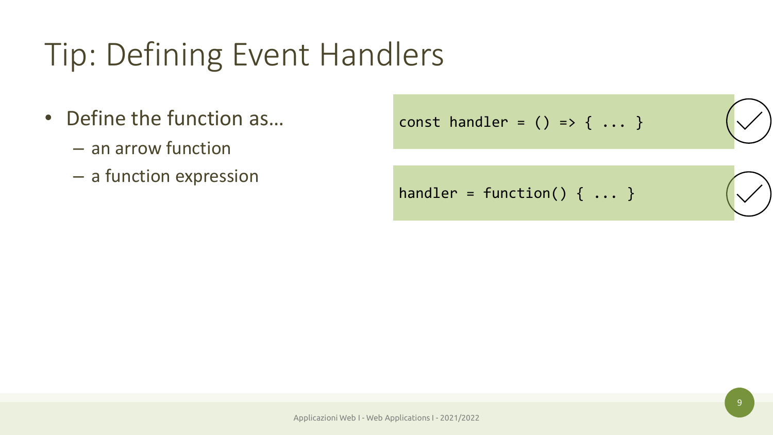# Tip: Defining Event Handlers

- Define the function as...
	- an arrow function
	- a function expression

const handler =  $()$  =>  $\{ ... \}$ 

handler = function()  $\{ \ldots \}$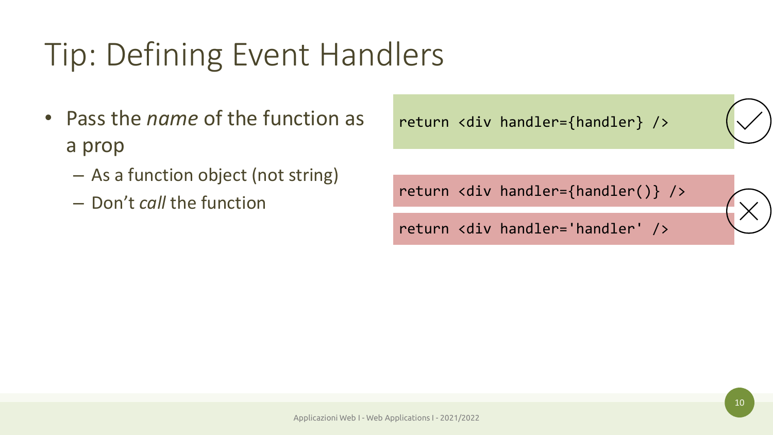# Tip: Defining Event Handlers

- Pass the *name* of the function as a prop
	- As a function object (not string)
	- Don't *call* the function

return <div handler={handler} />

return <div handler={handler()} />

return <div handler='handler' />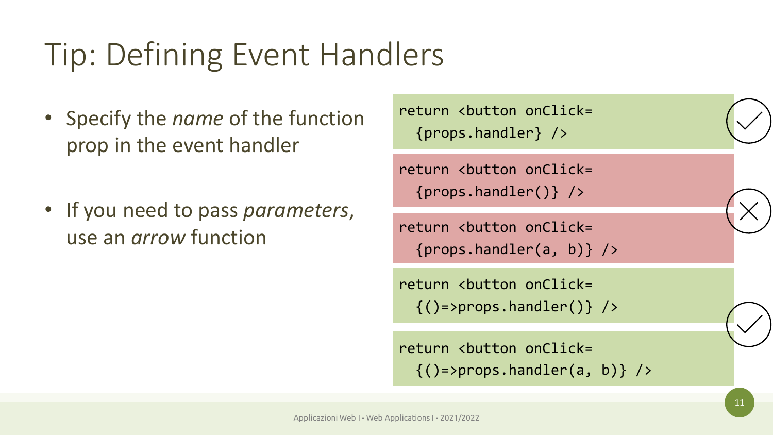# Tip: Defining Event Handlers

- Specify the *name* of the function prop in the event handler
- If you need to pass *parameters*, use an *arrow* function

return <br/>button onClick= {props.handler} />

return <br/>button onClick= {props.handler()} />

return <br/> <br/>
chutton onClick= {props.handler(a, b)} />

return <br/> <br/>
chutton onClick=  $\{() \Rightarrow$ props.handler()} />

return <br/> <br/>
continuation onClick=  $\{() \Rightarrow$ props.handler(a, b)} />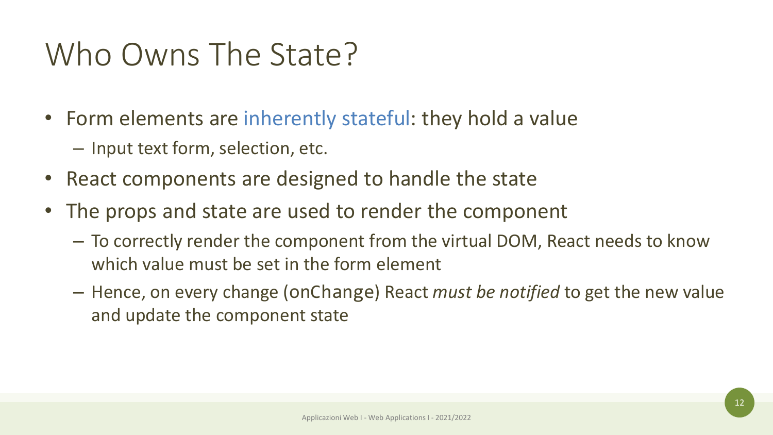### Who Owns The State?

- Form elements are inherently stateful: they hold a value
	- Input text form, selection, etc.
- React components are designed to handle the state
- The props and state are used to render the component
	- To correctly render the component from the virtual DOM, React needs to know which value must be set in the form element
	- Hence, on every change (onChange) React *must be notified* to get the new value and update the component state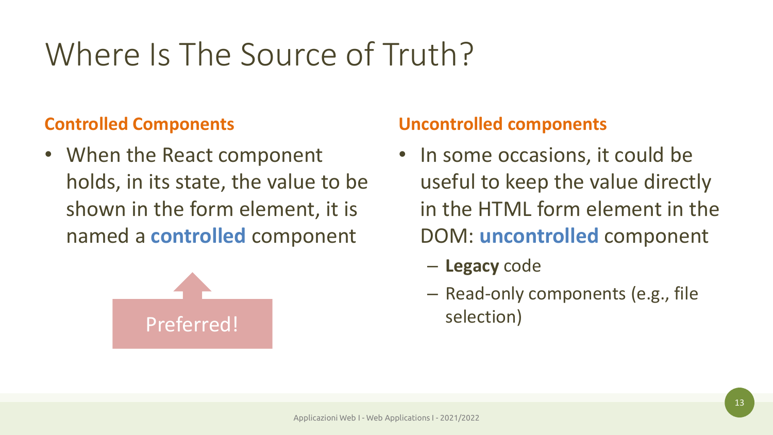# Where Is The Source of Truth?

#### **Controlled Components**

• When the React component holds, in its state, the value to be shown in the form element, it is named a **controlled** component



#### **Uncontrolled components**

- In some occasions, it could be useful to keep the value directly in the HTML form element in the DOM: **uncontrolled** component
	- **Legacy** code
	- Read-only components (e.g., file selection)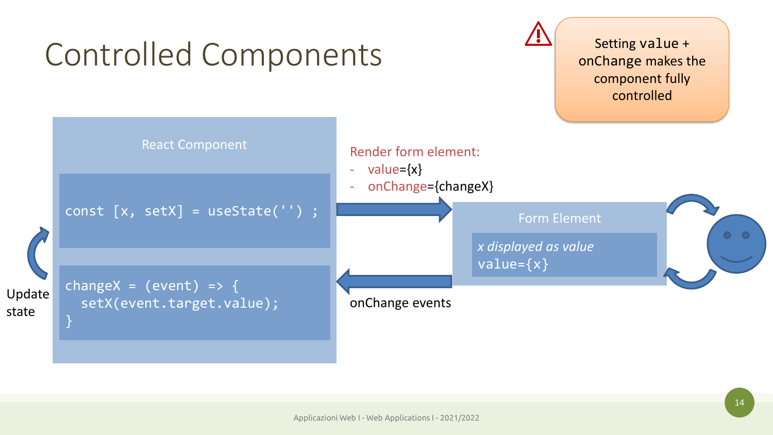

Setting value +

 $\triangle$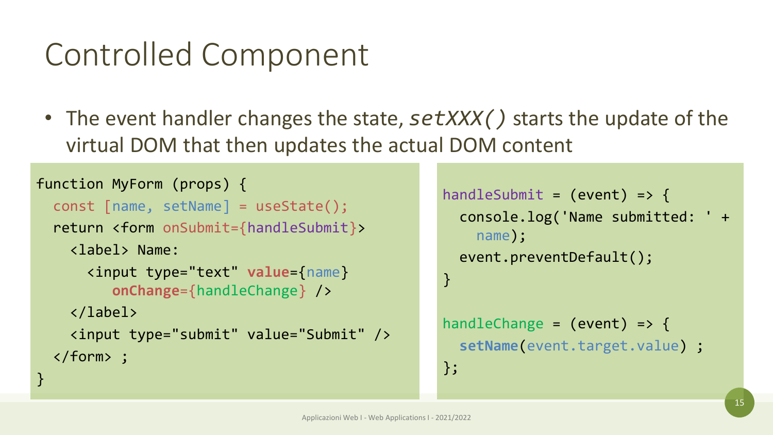#### Controlled Component

• The event handler changes the state, *setXXX()* starts the update of the virtual DOM that then updates the actual DOM content

```
function MyForm (props) {
  const [name, setName] = useState();
  return <form onSubmit={handleSubmit}>
    <label> Name:
      <input type="text" value={name}
         onChange={handleChange} />
    </label>
    <input type="submit" value="Submit" />
  </form> ;
}
```

```
handleSubmit = (event) => {
 console.log('Name submitted: ' +
    name);
 event.preventDefault();
}
handleChange = (event) => {
 setName(event.target.value) ;
};
```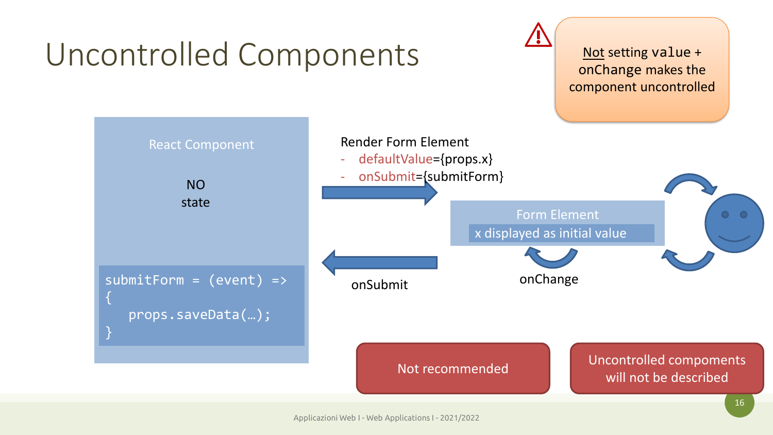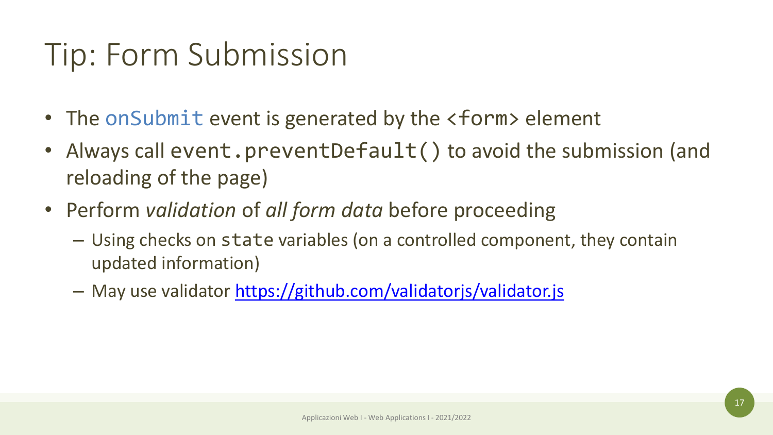#### Tip: Form Submission

- The onSubmit event is generated by the <form> element
- Always call event.preventDefault() to avoid the submission (and reloading of the page)
- Perform *validation* of *all form data* before proceeding
	- Using checks on state variables (on a controlled component, they contain updated information)
	- May use validator<https://github.com/validatorjs/validator.js>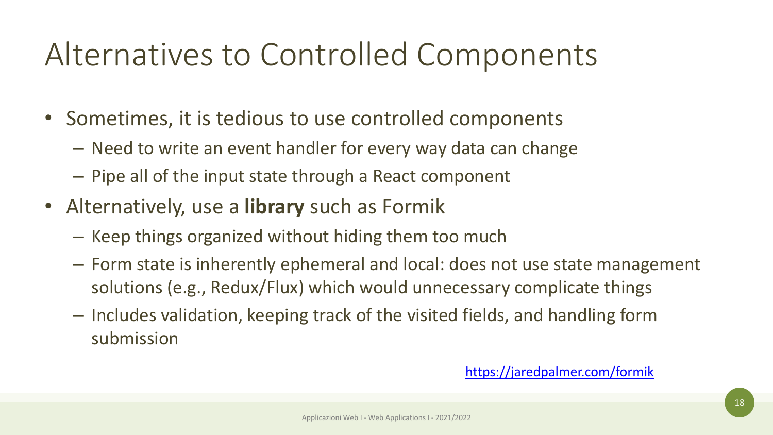### Alternatives to Controlled Components

- Sometimes, it is tedious to use controlled components
	- Need to write an event handler for every way data can change
	- Pipe all of the input state through a React component
- Alternatively, use a **library** such as Formik
	- Keep things organized without hiding them too much
	- Form state is inherently ephemeral and local: does not use state management solutions (e.g., Redux/Flux) which would unnecessary complicate things
	- Includes validation, keeping track of the visited fields, and handling form submission

<https://jaredpalmer.com/formik>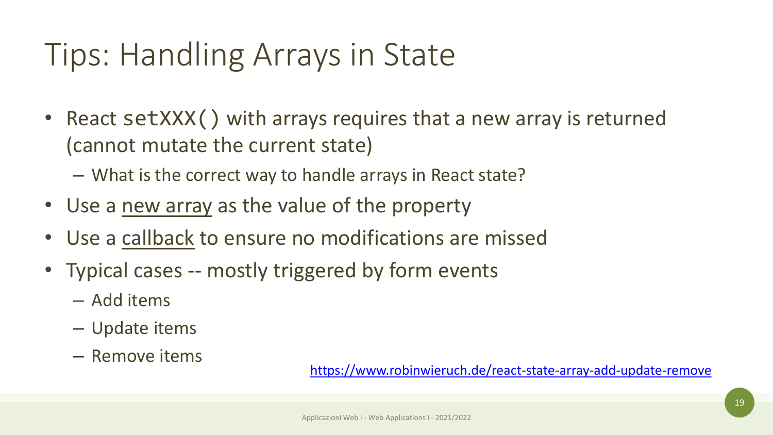#### Tips: Handling Arrays in State

- React setXXX() with arrays requires that a new array is returned (cannot mutate the current state)
	- What is the correct way to handle arrays in React state?
- Use a new array as the value of the property
- Use a callback to ensure no modifications are missed
- Typical cases -- mostly triggered by form events
	- Add items
	- Update items
	- Remove items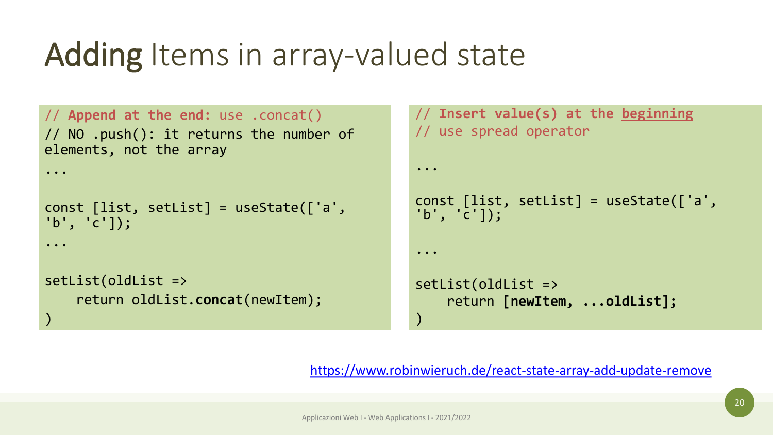#### Adding Items in array-valued state

```
// Append at the end: use .concat()
// NO .push(): it returns the number of 
elements, not the array
...
const [list, setList] = useState(['a', 
'b', 'c']);
...
setList(oldList =>
    return oldList.concat(newItem);
)
```

```
// Insert value(s) at the beginning
// use spread operator
...
const [list, setList] = useState(['a', 
'b', 'c']);
...
setList(oldList =>
    return [newItem, ...oldList];
)
```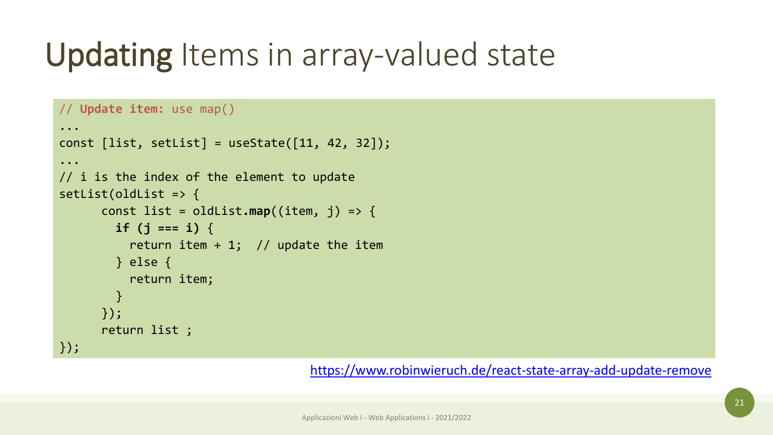# Updating Items in array-valued state

```
// Update item: use map()
...
const [list, setList] = useState([11, 42, 32]);...
// i is the index of the element to update
setList(oldList => {
      const list = oldList.map((item, j) => {
        if (j === i) {
          return item + 1; // update the item
       } else {
          return item;
        }
      });
      return list ;
});
```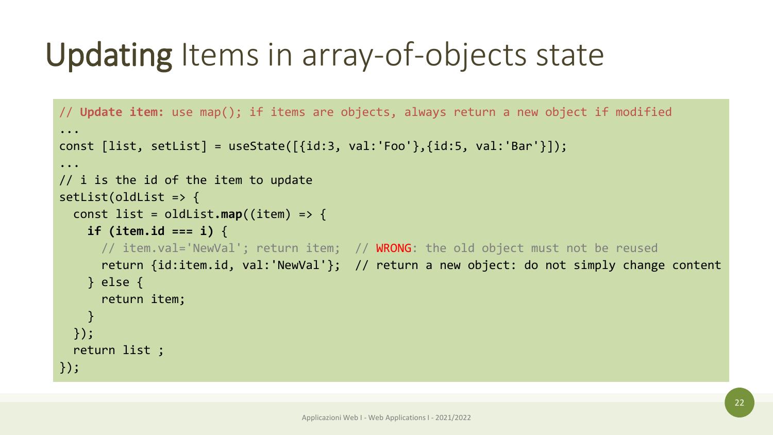# Updating Items in array-of-objects state

```
// Update item: use map(); if items are objects, always return a new object if modified
...
const [list, setList] = useState([id:3, val: 'Foo'], [id:5, val: 'Bar']);
...
// i is the id of the item to update
setList(oldList \Rightarrow \{const list = oldList.map((item) => {
    if (item.id === i) {
      // item.val='NewVal'; return item; // WRONG: the old object must not be reused
      return {id:item.id, val:'NewVal'}; // return a new object: do not simply change content
   } else {
      return item;
   }
 });
 return list ;
});
```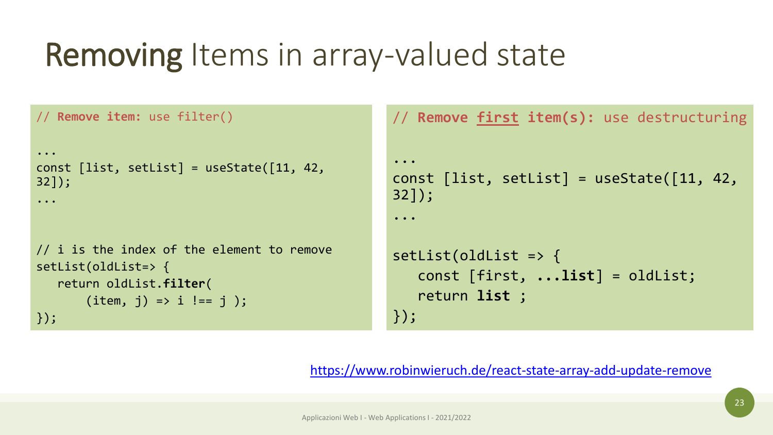#### Removing Items in array-valued state

```
// Remove item: use filter()
...
const [iist, setList] = useState([11, 42,32]);
...
// i is the index of the element to remove
setList(oldList=> {
  return oldList.filter(
      (item, i) \Rightarrow i != = j);});
                                                // Remove first item(s): use destructuring
                                                 ...
                                                const [list, setList] = useState([11, 42,32]);
                                                 ...
                                                setList(oldList => {
                                                    const [first, ...list] = oldList;
                                                    return list ;
                                                });
```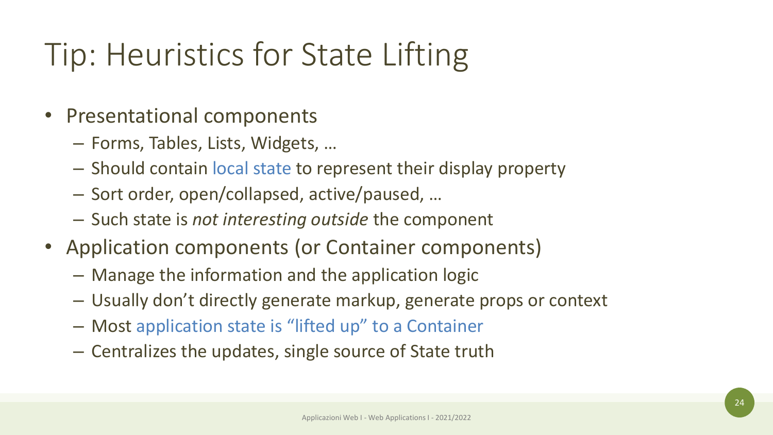# Tip: Heuristics for State Lifting

- Presentational components
	- Forms, Tables, Lists, Widgets, …
	- Should contain local state to represent their display property
	- Sort order, open/collapsed, active/paused, …
	- Such state is *not interesting outside* the component
- Application components (or Container components)
	- Manage the information and the application logic
	- Usually don't directly generate markup, generate props or context
	- Most application state is "lifted up" to a Container
	- Centralizes the updates, single source of State truth